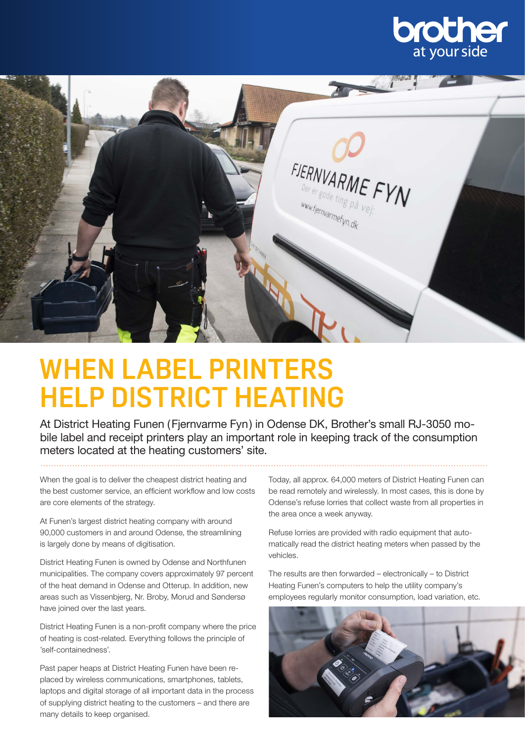



## **WHEN LABEL PRINTERS HELP DISTRICT HEATING**

At District Heating Funen (Fjernvarme Fyn) in Odense DK, Brother's small RJ-3050 mobile label and receipt printers play an important role in keeping track of the consumption meters located at the heating customers' site.

When the goal is to deliver the cheapest district heating and the best customer service, an efficient workflow and low costs are core elements of the strategy.

At Funen's largest district heating company with around 90,000 customers in and around Odense, the streamlining is largely done by means of digitisation.

District Heating Funen is owned by Odense and Northfunen municipalities. The company covers approximately 97 percent of the heat demand in Odense and Otterup. In addition, new areas such as Vissenbjerg, Nr. Broby, Morud and Søndersø have joined over the last years.

District Heating Funen is a non-profit company where the price of heating is cost-related. Everything follows the principle of 'self-containedness'.

Past paper heaps at District Heating Funen have been replaced by wireless communications, smartphones, tablets, laptops and digital storage of all important data in the process of supplying district heating to the customers – and there are many details to keep organised.

Today, all approx. 64,000 meters of District Heating Funen can be read remotely and wirelessly. In most cases, this is done by Odense's refuse lorries that collect waste from all properties in the area once a week anyway.

Refuse lorries are provided with radio equipment that automatically read the district heating meters when passed by the vehicles.

The results are then forwarded – electronically – to District Heating Funen's computers to help the utility company's employees regularly monitor consumption, load variation, etc.